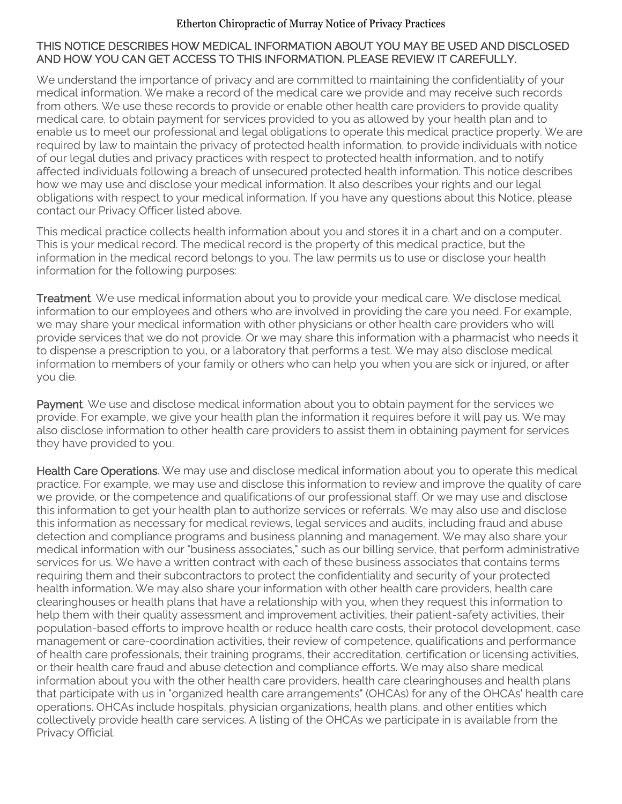#### Etherton Chiropractic of Murray Notice of Privacy Practices

## THIS NOTICE DESCRIBES HOW MEDICAL INFORMATION ABOUT YOU MAY BE USED AND DISCLOSED AND HOW YOU CAN GET ACCESS TO THIS INFORMATION. PLEASE REVIEW IT CAREFULLY.

We understand the importance of privacy and are committed to maintaining the confidentiality of your medical information. We make a record of the medical care we provide and may receive such records from others. We use these records to provide or enable other health care providers to provide quality medical care, to obtain payment for services provided to you as allowed by your health plan and to enable us to meet our professional and legal obligations to operate this medical practice properly. We are required by law to maintain the privacy of protected health information, to provide individuals with notice of our legal duties and privacy practices with respect to protected health information, and to notify affected individuals following a breach of unsecured protected health information. This notice describes how we may use and disclose your medical information. It also describes your rights and our legal obligations with respect to your medical information. If you have any questions about this Notice, please contact our Privacy Officer listed above.

This medical practice collects health information about you and stores it in a chart and on a computer. This is your medical record. The medical record is the property of this medical practice, but the information in the medical record belongs to you. The law permits us to use or disclose your health information for the following purposes:

Treatment. We use medical information about you to provide your medical care. We disclose medical information to our employees and others who are involved in providing the care you need. For example, we may share your medical information with other physicians or other health care providers who will provide services that we do not provide. Or we may share this information with a pharmacist who needs it to dispense a prescription to you, or a laboratory that performs a test. We may also disclose medical information to members of your family or others who can help you when you are sick or injured, or after you die.

Payment. We use and disclose medical information about you to obtain payment for the services we provide. For example, we give your health plan the information it requires before it will pay us. We may also disclose information to other health care providers to assist them in obtaining payment for services they have provided to you.

Health Care Operations. We may use and disclose medical information about you to operate this medical practice. For example, we may use and disclose this information to review and improve the quality of care we provide, or the competence and qualifications of our professional staff. Or we may use and disclose this information to get your health plan to authorize services or referrals. We may also use and disclose this information as necessary for medical reviews, legal services and audits, including fraud and abuse detection and compliance programs and business planning and management. We may also share your medical information with our "business associates," such as our billing service, that perform administrative services for us. We have a written contract with each of these business associates that contains terms requiring them and their subcontractors to protect the confidentiality and security of your protected health information. We may also share your information with other health care providers, health care clearinghouses or health plans that have a relationship with you, when they request this information to help them with their quality assessment and improvement activities, their patient-safety activities, their population-based efforts to improve health or reduce health care costs, their protocol development, case management or care-coordination activities, their review of competence, qualifications and performance of health care professionals, their training programs, their accreditation, certification or licensing activities, or their health care fraud and abuse detection and compliance efforts. We may also share medical information about you with the other health care providers, health care clearinghouses and health plans that participate with us in "organized health care arrangements" (OHCAs) for any of the OHCAs' health care operations. OHCAs include hospitals, physician organizations, health plans, and other entities which collectively provide health care services. A listing of the OHCAs we participate in is available from the Privacy Official.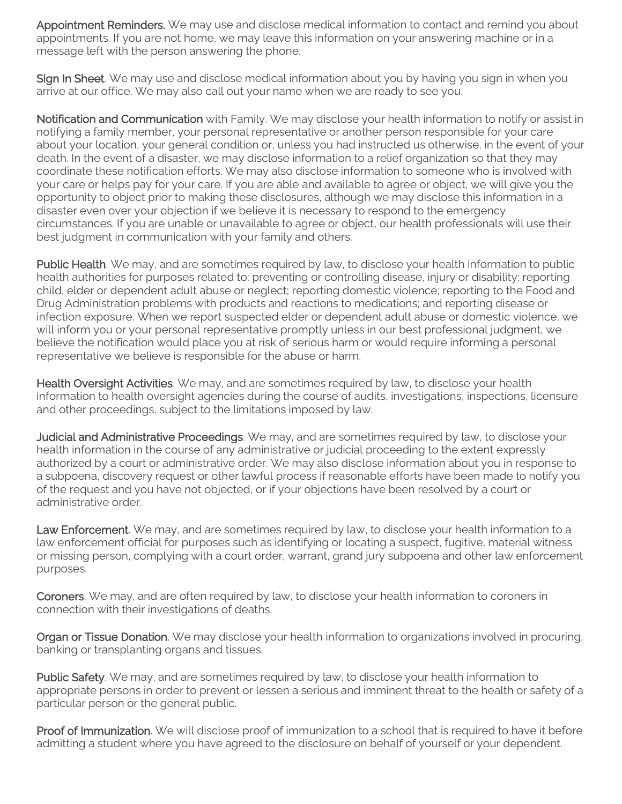Appointment Reminders. We may use and disclose medical information to contact and remind you about appointments. If you are not home, we may leave this information on your answering machine or in a message left with the person answering the phone.

Sign In Sheet. We may use and disclose medical information about you by having you sign in when you arrive at our office. We may also call out your name when we are ready to see you.

Notification and Communication with Family. We may disclose your health information to notify or assist in notifying a family member, your personal representative or another person responsible for your care about your location, your general condition or, unless you had instructed us otherwise, in the event of your death. In the event of a disaster, we may disclose information to a relief organization so that they may coordinate these notification efforts. We may also disclose information to someone who is involved with your care or helps pay for your care. If you are able and available to agree or object, we will give you the opportunity to object prior to making these disclosures, although we may disclose this information in a disaster even over your objection if we believe it is necessary to respond to the emergency circumstances. If you are unable or unavailable to agree or object, our health professionals will use their best judgment in communication with your family and others.

Public Health. We may, and are sometimes required by law, to disclose your health information to public health authorities for purposes related to: preventing or controlling disease, injury or disability; reporting child, elder or dependent adult abuse or neglect; reporting domestic violence; reporting to the Food and Drug Administration problems with products and reactions to medications; and reporting disease or infection exposure. When we report suspected elder or dependent adult abuse or domestic violence, we will inform you or your personal representative promptly unless in our best professional judgment, we believe the notification would place you at risk of serious harm or would require informing a personal representative we believe is responsible for the abuse or harm.

Health Oversight Activities. We may, and are sometimes required by law, to disclose your health information to health oversight agencies during the course of audits, investigations, inspections, licensure and other proceedings, subject to the limitations imposed by law.

Judicial and Administrative Proceedings. We may, and are sometimes required by law, to disclose your health information in the course of any administrative or judicial proceeding to the extent expressly authorized by a court or administrative order. We may also disclose information about you in response to a subpoena, discovery request or other lawful process if reasonable efforts have been made to notify you of the request and you have not objected, or if your objections have been resolved by a court or administrative order.

Law Enforcement. We may, and are sometimes required by law, to disclose your health information to a law enforcement official for purposes such as identifying or locating a suspect, fugitive, material witness or missing person, complying with a court order, warrant, grand jury subpoena and other law enforcement purposes.

Coroners. We may, and are often required by law, to disclose your health information to coroners in connection with their investigations of deaths.

Organ or Tissue Donation. We may disclose your health information to organizations involved in procuring, banking or transplanting organs and tissues.

Public Safety. We may, and are sometimes required by law, to disclose your health information to appropriate persons in order to prevent or lessen a serious and imminent threat to the health or safety of a particular person or the general public.

Proof of Immunization. We will disclose proof of immunization to a school that is required to have it before admitting a student where you have agreed to the disclosure on behalf of yourself or your dependent.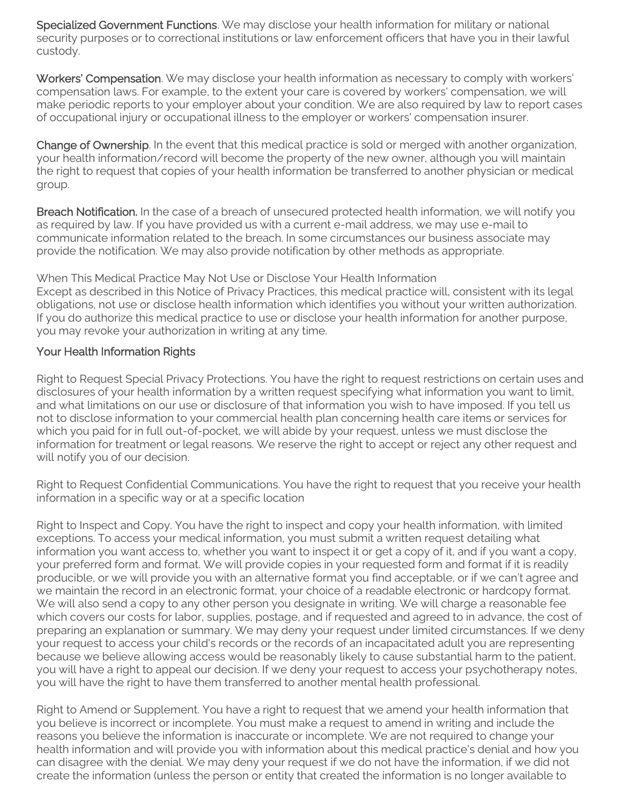Specialized Government Functions. We may disclose your health information for military or national security purposes or to correctional institutions or law enforcement officers that have you in their lawful custody.

Workers' Compensation. We may disclose your health information as necessary to comply with workers' compensation laws. For example, to the extent your care is covered by workers' compensation, we will make periodic reports to your employer about your condition. We are also required by law to report cases of occupational injury or occupational illness to the employer or workers' compensation insurer.

Change of Ownership. In the event that this medical practice is sold or merged with another organization, your health information/record will become the property of the new owner, although you will maintain the right to request that copies of your health information be transferred to another physician or medical group.

Breach Notification. In the case of a breach of unsecured protected health information, we will notify you as required by law. If you have provided us with a current e-mail address, we may use e-mail to communicate information related to the breach. In some circumstances our business associate may provide the notification. We may also provide notification by other methods as appropriate.

When This Medical Practice May Not Use or Disclose Your Health Information Except as described in this Notice of Privacy Practices, this medical practice will, consistent with its legal obligations, not use or disclose health information which identifies you without your written authorization. If you do authorize this medical practice to use or disclose your health information for another purpose, you may revoke your authorization in writing at any time.

# Your Health Information Rights

Right to Request Special Privacy Protections. You have the right to request restrictions on certain uses and disclosures of your health information by a written request specifying what information you want to limit, and what limitations on our use or disclosure of that information you wish to have imposed. If you tell us not to disclose information to your commercial health plan concerning health care items or services for which you paid for in full out-of-pocket, we will abide by your request, unless we must disclose the information for treatment or legal reasons. We reserve the right to accept or reject any other request and will notify you of our decision.

Right to Request Confidential Communications. You have the right to request that you receive your health information in a specific way or at a specific location

Right to Inspect and Copy. You have the right to inspect and copy your health information, with limited exceptions. To access your medical information, you must submit a written request detailing what information you want access to, whether you want to inspect it or get a copy of it, and if you want a copy, your preferred form and format. We will provide copies in your requested form and format if it is readily producible, or we will provide you with an alternative format you find acceptable, or if we can't agree and we maintain the record in an electronic format, your choice of a readable electronic or hardcopy format. We will also send a copy to any other person you designate in writing. We will charge a reasonable fee which covers our costs for labor, supplies, postage, and if requested and agreed to in advance, the cost of preparing an explanation or summary. We may deny your request under limited circumstances. If we deny your request to access your child's records or the records of an incapacitated adult you are representing because we believe allowing access would be reasonably likely to cause substantial harm to the patient, you will have a right to appeal our decision. If we deny your request to access your psychotherapy notes, you will have the right to have them transferred to another mental health professional.

Right to Amend or Supplement. You have a right to request that we amend your health information that you believe is incorrect or incomplete. You must make a request to amend in writing and include the reasons you believe the information is inaccurate or incomplete. We are not required to change your health information and will provide you with information about this medical practice's denial and how you can disagree with the denial. We may deny your request if we do not have the information, if we did not create the information (unless the person or entity that created the information is no longer available to